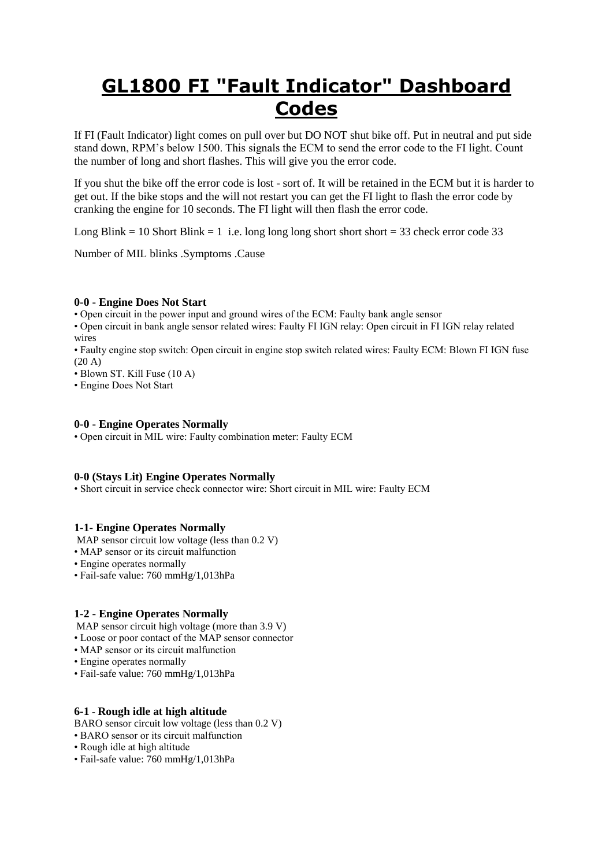# **GL1800 FI "Fault Indicator" Dashboard Codes**

If FI (Fault Indicator) light comes on pull over but DO NOT shut bike off. Put in neutral and put side stand down, RPM's below 1500. This signals the ECM to send the error code to the FI light. Count the number of long and short flashes. This will give you the error code.

If you shut the bike off the error code is lost - sort of. It will be retained in the ECM but it is harder to get out. If the bike stops and the will not restart you can get the FI light to flash the error code by cranking the engine for 10 seconds. The FI light will then flash the error code.

Long Blink = 10 Short Blink = 1 i.e. long long long short short  $=$  33 check error code 33

Number of MIL blinks .Symptoms .Cause

#### **0-0 - Engine Does Not Start**

• Open circuit in the power input and ground wires of the ECM: Faulty bank angle sensor

• Open circuit in bank angle sensor related wires: Faulty FI IGN relay: Open circuit in FI IGN relay related wires

• Faulty engine stop switch: Open circuit in engine stop switch related wires: Faulty ECM: Blown FI IGN fuse  $(20 \text{ A})$ 

• Blown ST. Kill Fuse (10 A)

• Engine Does Not Start

#### **0-0 - Engine Operates Normally**

• Open circuit in MIL wire: Faulty combination meter: Faulty ECM

# **0-0 (Stays Lit) Engine Operates Normally**

• Short circuit in service check connector wire: Short circuit in MIL wire: Faulty ECM

#### **1-1- Engine Operates Normally**

MAP sensor circuit low voltage (less than  $0.2$  V)

- MAP sensor or its circuit malfunction
- Engine operates normally
- Fail-safe value: 760 mmHg/1,013hPa

#### **1-2 - Engine Operates Normally**

- MAP sensor circuit high voltage (more than 3.9 V)
- Loose or poor contact of the MAP sensor connector
- MAP sensor or its circuit malfunction
- Engine operates normally
- Fail-safe value: 760 mmHg/1,013hPa

#### **6-1** - **Rough idle at high altitude**

BARO sensor circuit low voltage (less than 0.2 V)

- BARO sensor or its circuit malfunction
- Rough idle at high altitude
- Fail-safe value: 760 mmHg/1,013hPa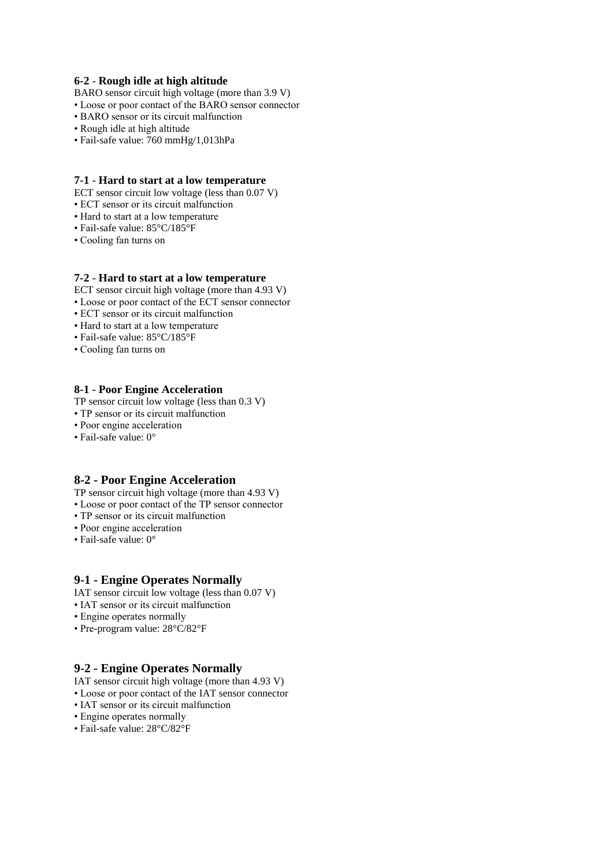#### **6-2** - **Rough idle at high altitude**

- BARO sensor circuit high voltage (more than 3.9 V)
- Loose or poor contact of the BARO sensor connector
- BARO sensor or its circuit malfunction
- Rough idle at high altitude
- Fail-safe value: 760 mmHg/1,013hPa

#### **7-1** - **Hard to start at a low temperature**

- ECT sensor circuit low voltage (less than 0.07 V)
- ECT sensor or its circuit malfunction
- Hard to start at a low temperature
- Fail-safe value: 85°C/185°F
- Cooling fan turns on

### **7-2** - **Hard to start at a low temperature**

- ECT sensor circuit high voltage (more than 4.93 V)
- Loose or poor contact of the ECT sensor connector
- ECT sensor or its circuit malfunction
- Hard to start at a low temperature
- Fail-safe value: 85°C/185°F
- Cooling fan turns on

#### **8-1 - Poor Engine Acceleration**

- TP sensor circuit low voltage (less than 0.3 V)
- TP sensor or its circuit malfunction
- Poor engine acceleration
- Fail-safe value: 0°

# **8-2 - Poor Engine Acceleration**

TP sensor circuit high voltage (more than 4.93 V)

- Loose or poor contact of the TP sensor connector
- TP sensor or its circuit malfunction
- Poor engine acceleration
- Fail-safe value: 0°

#### **9-1 - Engine Operates Normally**

- IAT sensor circuit low voltage (less than 0.07 V)
- IAT sensor or its circuit malfunction
- Engine operates normally
- Pre-program value: 28°C/82°F

# **9-2 - Engine Operates Normally**

- IAT sensor circuit high voltage (more than 4.93 V)
- Loose or poor contact of the IAT sensor connector
- IAT sensor or its circuit malfunction
- Engine operates normally
- Fail-safe value: 28°C/82°F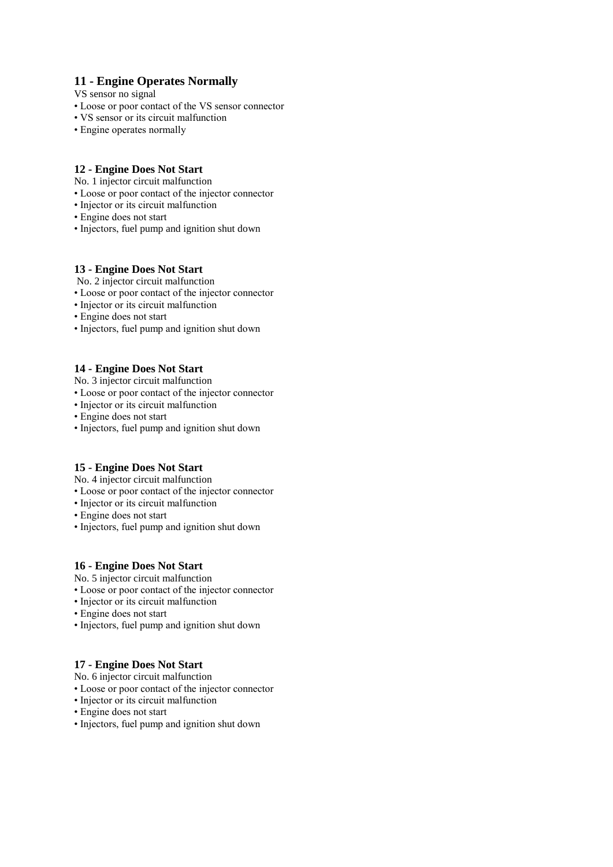# **11 - Engine Operates Normally**

VS sensor no signal

- Loose or poor contact of the VS sensor connector
- VS sensor or its circuit malfunction
- Engine operates normally

# **12 - Engine Does Not Start**

No. 1 injector circuit malfunction

- Loose or poor contact of the injector connector
- Injector or its circuit malfunction
- Engine does not start
- Injectors, fuel pump and ignition shut down

#### **13 - Engine Does Not Start**

No. 2 injector circuit malfunction

- Loose or poor contact of the injector connector
- Injector or its circuit malfunction
- Engine does not start
- Injectors, fuel pump and ignition shut down

#### **14 - Engine Does Not Start**

No. 3 injector circuit malfunction

- Loose or poor contact of the injector connector
- Injector or its circuit malfunction
- Engine does not start
- Injectors, fuel pump and ignition shut down

# **15 - Engine Does Not Start**

No. 4 injector circuit malfunction

- Loose or poor contact of the injector connector
- Injector or its circuit malfunction
- Engine does not start
- Injectors, fuel pump and ignition shut down

#### **16 - Engine Does Not Start**

No. 5 injector circuit malfunction

- Loose or poor contact of the injector connector
- Injector or its circuit malfunction
- Engine does not start
- Injectors, fuel pump and ignition shut down

# **17 - Engine Does Not Start**

No. 6 injector circuit malfunction

- Loose or poor contact of the injector connector
- Injector or its circuit malfunction
- Engine does not start
- Injectors, fuel pump and ignition shut down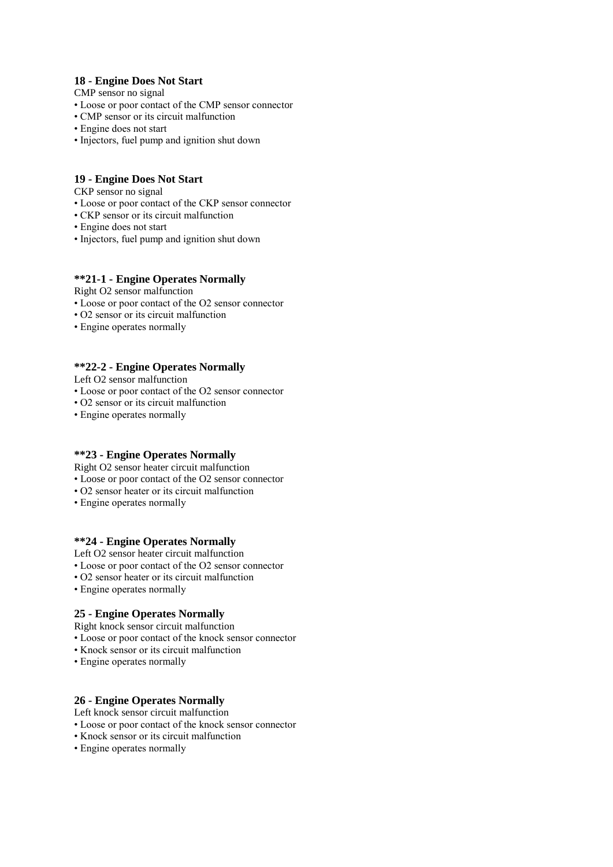# **18 - Engine Does Not Start**

CMP sensor no signal

- Loose or poor contact of the CMP sensor connector
- CMP sensor or its circuit malfunction
- Engine does not start
- Injectors, fuel pump and ignition shut down

### **19 - Engine Does Not Start**

CKP sensor no signal

- Loose or poor contact of the CKP sensor connector
- CKP sensor or its circuit malfunction
- Engine does not start
- Injectors, fuel pump and ignition shut down

#### **\*\*21-1 - Engine Operates Normally**

Right O2 sensor malfunction

- Loose or poor contact of the O2 sensor connector
- O2 sensor or its circuit malfunction
- Engine operates normally

# **\*\*22-2 - Engine Operates Normally**

Left O2 sensor malfunction

- Loose or poor contact of the O2 sensor connector
- O2 sensor or its circuit malfunction
- Engine operates normally

#### **\*\*23 - Engine Operates Normally**

Right O2 sensor heater circuit malfunction

- Loose or poor contact of the O2 sensor connector
- O2 sensor heater or its circuit malfunction
- Engine operates normally

#### **\*\*24 - Engine Operates Normally**

- Left O2 sensor heater circuit malfunction
- Loose or poor contact of the O2 sensor connector
- O2 sensor heater or its circuit malfunction
- Engine operates normally

# **25 - Engine Operates Normally**

Right knock sensor circuit malfunction

- Loose or poor contact of the knock sensor connector
- Knock sensor or its circuit malfunction
- Engine operates normally

#### **26 - Engine Operates Normally**

Left knock sensor circuit malfunction

- Loose or poor contact of the knock sensor connector
- Knock sensor or its circuit malfunction
- Engine operates normally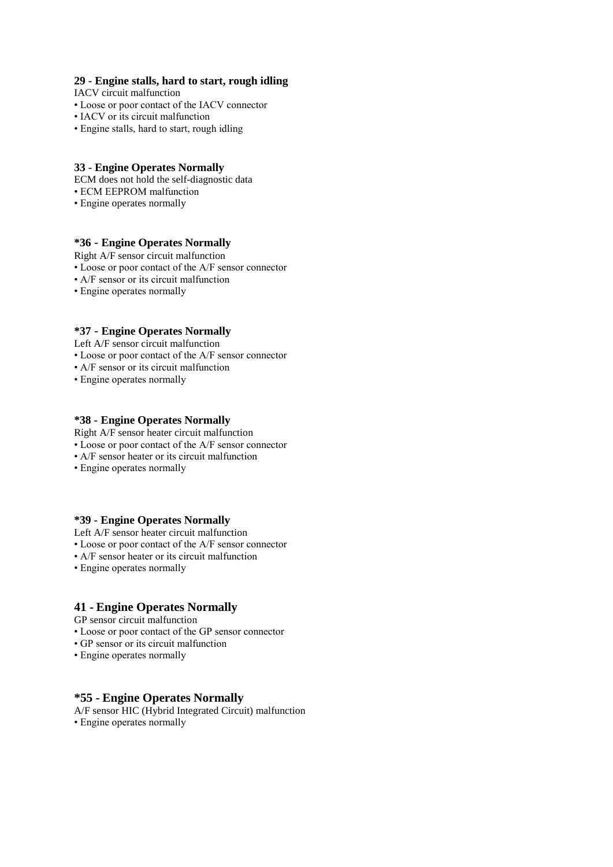#### **29 - Engine stalls, hard to start, rough idling**

IACV circuit malfunction

- Loose or poor contact of the IACV connector
- IACV or its circuit malfunction
- Engine stalls, hard to start, rough idling

#### **33 - Engine Operates Normally**

ECM does not hold the self-diagnostic data

- ECM EEPROM malfunction
- Engine operates normally

### **\*36** - **Engine Operates Normally**

Right A/F sensor circuit malfunction

- Loose or poor contact of the A/F sensor connector
- A/F sensor or its circuit malfunction
- Engine operates normally

# **\*37** - **Engine Operates Normally**

Left A/F sensor circuit malfunction

- Loose or poor contact of the A/F sensor connector
- A/F sensor or its circuit malfunction
- Engine operates normally

#### **\*38 - Engine Operates Normally**

Right A/F sensor heater circuit malfunction

- Loose or poor contact of the A/F sensor connector
- A/F sensor heater or its circuit malfunction
- Engine operates normally

#### **\*39 - Engine Operates Normally**

Left A/F sensor heater circuit malfunction

- Loose or poor contact of the A/F sensor connector
- A/F sensor heater or its circuit malfunction
- Engine operates normally

#### **41 - Engine Operates Normally**

GP sensor circuit malfunction

- Loose or poor contact of the GP sensor connector
- GP sensor or its circuit malfunction
- Engine operates normally

# **\*55 - Engine Operates Normally**

A/F sensor HIC (Hybrid Integrated Circuit) malfunction • Engine operates normally